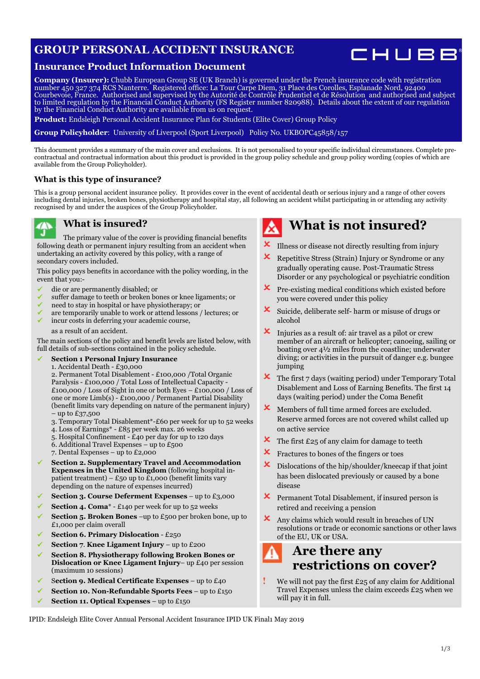## **GROUP PERSONAL ACCIDENT INSURANCE**



## **Insurance Product Information Document**

**Company (Insurer):** Chubb European Group SE (UK Branch) is governed under the French insurance code with registration number 450 327 374 RCS Nanterre. Registered office: La Tour Carpe Diem, 31 Place des Corolles, Esplanade Nord, 92400 Courbevoie, France. Authorised and supervised by the Autorité de Contrôle Prudentiel et de Résolution and authorised and subject to limited regulation by the Financial Conduct Authority (FS Register number 820988). Details about the extent of our regulation by the Financial Conduct Authority are available from us on request.

**Product:** Endsleigh Personal Accident Insurance Plan for Students (Elite Cover) Group Policy

**Group Policyholder**: University of Liverpool (Sport Liverpool) Policy No. UKBOPC45858/157

This document provides a summary of the main cover and exclusions. It is not personalised to your specific individual circumstances. Complete precontractual and contractual information about this product is provided in the group policy schedule and group policy wording (copies of which are available from the Group Policyholder).

#### **What is this type of insurance?**

This is a group personal accident insurance policy. It provides cover in the event of accidental death or serious injury and a range of other covers including dental injuries, broken bones, physiotherapy and hospital stay, all following an accident whilst participating in or attending any activity recognised by and under the auspices of the Group Policyholder.



### **What is insured?**

The primary value of the cover is providing financial benefits following death or permanent injury resulting from an accident when undertaking an activity covered by this policy, with a range of secondary covers included.

This policy pays benefits in accordance with the policy wording, in the event that you:-

- die or are permanently disabled; or
- suffer damage to teeth or broken bones or knee ligaments; or
- need to stay in hospital or have physiotherapy; or
- are temporarily unable to work or attend lessons / lectures; or
- incur costs in deferring your academic course,

as a result of an accident.

The main sections of the policy and benefit levels are listed below, with full details of sub-sections contained in the policy schedule.

#### **Section 1 Personal Injury Insurance**

1. Accidental Death - £30,000

2. Permanent Total Disablement - £100,000 /Total Organic Paralysis - £100,000 / Total Loss of Intellectual Capacity - £100,000 / Loss of Sight in one or both Eyes – £100,000 / Loss of one or more Limb(s) - £100,000 / Permanent Partial Disability (benefit limits vary depending on nature of the permanent injury) – up to £37,500

- 3. Temporary Total Disablement\*-£60 per week for up to 52 weeks
- 4. Loss of Earnings\* £85 per week max. 26 weeks
- 5. Hospital Confinement £40 per day for up to 120 days
- 6. Additional Travel Expenses up to £500
- 7. Dental Expenses up to £2,000
- **Section 2. Supplementary Travel and Accommodation Expenses in the United Kingdom** (following hospital inpatient treatment) – £50 up to £1,000 (benefit limits vary depending on the nature of expenses incurred)
- **Section 3. Course Deferment Expenses** up to £3,000
- **Section 4. Coma**\* £140 per week for up to 52 weeks
- **Section 5. Broken Bones** –up to £500 per broken bone, up to £1,000 per claim overall
- **Section 6. Primary Dislocation** £250
- **Section 7**. **Knee Ligament Injury** up to £200
- **Section 8. Physiotherapy following Broken Bones or Dislocation or Knee Ligament Injury**– up £40 per session (maximum 10 sessions)
- S**ection 9. Medical Certificate Expenses** up to £40
- **Section 10. Non-Refundable Sports Fees** up to £150
- **Section 11. Optical Expenses** up to £150

# **What is not insured?**

- Illness or disease not directly resulting from injury
- Repetitive Stress (Strain) Injury or Syndrome or any gradually operating cause. Post-Traumatic Stress Disorder or any psychological or psychiatric condition
- Pre-existing medical conditions which existed before you were covered under this policy
- $\boldsymbol{\times}$  Suicide, deliberate self- harm or misuse of drugs or alcohol
- $\boldsymbol{\times}$  Injuries as a result of: air travel as a pilot or crew member of an aircraft or helicopter; canoeing, sailing or boating over 4½ miles from the coastline; underwater diving; or activities in the pursuit of danger e.g. bungee jumping
- $\boldsymbol{\times}$  The first 7 days (waiting period) under Temporary Total Disablement and Loss of Earning Benefits. The first 14 days (waiting period) under the Coma Benefit
- Members of full time armed forces are excluded. Reserve armed forces are not covered whilst called up on active service
- $\overline{\mathsf{x}}$  The first £25 of any claim for damage to teeth
- $\boldsymbol{\times}$  Fractures to bones of the fingers or toes
- Dislocations of the hip/shoulder/kneecap if that joint has been dislocated previously or caused by a bone disease
- $\boldsymbol{\times}$  Permanent Total Disablement, if insured person is retired and receiving a pension
- Any claims which would result in breaches of UN resolutions or trade or economic sanctions or other laws of the EU, UK or USA.

## **Are there any restrictions on cover?**

**!** We will not pay the first £25 of any claim for Additional Travel Expenses unless the claim exceeds £25 when we will pay it in full.

IPID: Endsleigh Elite Cover Annual Personal Accident Insurance IPID UK Final1 May 2019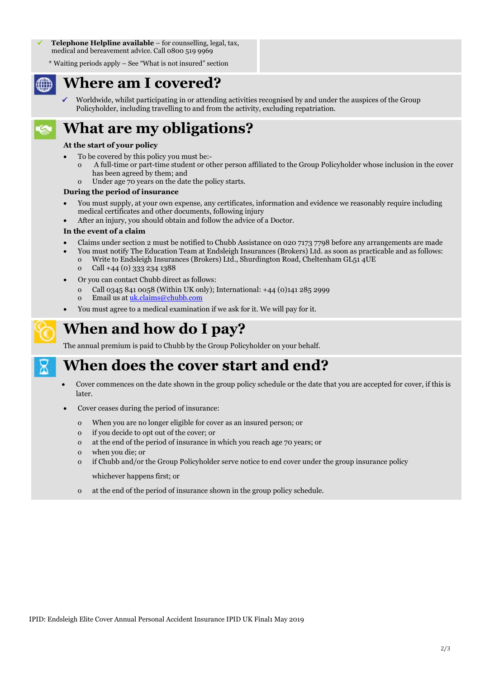**Telephone Helpline available** – for counselling, legal, tax, medical and bereavement advice. Call 0800 519 9969

\* Waiting periods apply – See "What is not insured" section

## **Where am I covered?**

 Worldwide, whilst participating in or attending activities recognised by and under the auspices of the Group Policyholder, including travelling to and from the activity, excluding repatriation.

# **What are my obligations?**

#### **At the start of your policy**

- To be covered by this policy you must be:-
- o A full-time or part-time student or other person affiliated to the Group Policyholder whose inclusion in the cover has been agreed by them; and
	- o Under age 70 years on the date the policy starts.

#### **During the period of insurance**

- You must supply, at your own expense, any certificates, information and evidence we reasonably require including medical certificates and other documents, following injury
- After an injury, you should obtain and follow the advice of a Doctor.

#### **In the event of a claim**

- Claims under section 2 must be notified to Chubb Assistance on 020 7173 7798 before any arrangements are made
	- You must notify The Education Team at Endsleigh Insurances (Brokers) Ltd. as soon as practicable and as follows: o Write to Endsleigh Insurances (Brokers) Ltd., Shurdington Road, Cheltenham GL51 4UE
		- o Call +44 (0) 333 234 1388
- Or you can contact Chubb direct as follows:
	- o Call 0345 841 0058 (Within UK only); International: +44 (0)141 285 2999 o Email us at uk.claims@chubb.com
- You must agree to a medical examination if we ask for it. We will pay for it.

## **When and how do I pay?**

The annual premium is paid to Chubb by the Group Policyholder on your behalf.

## **When does the cover start and end?**

- Cover commences on the date shown in the group policy schedule or the date that you are accepted for cover, if this is later.
- Cover ceases during the period of insurance:
	- o When you are no longer eligible for cover as an insured person; or
	- o if you decide to opt out of the cover; or
	- o at the end of the period of insurance in which you reach age 70 years; or
	- o when you die; or
	- o if Chubb and/or the Group Policyholder serve notice to end cover under the group insurance policy

whichever happens first; or

o at the end of the period of insurance shown in the group policy schedule.